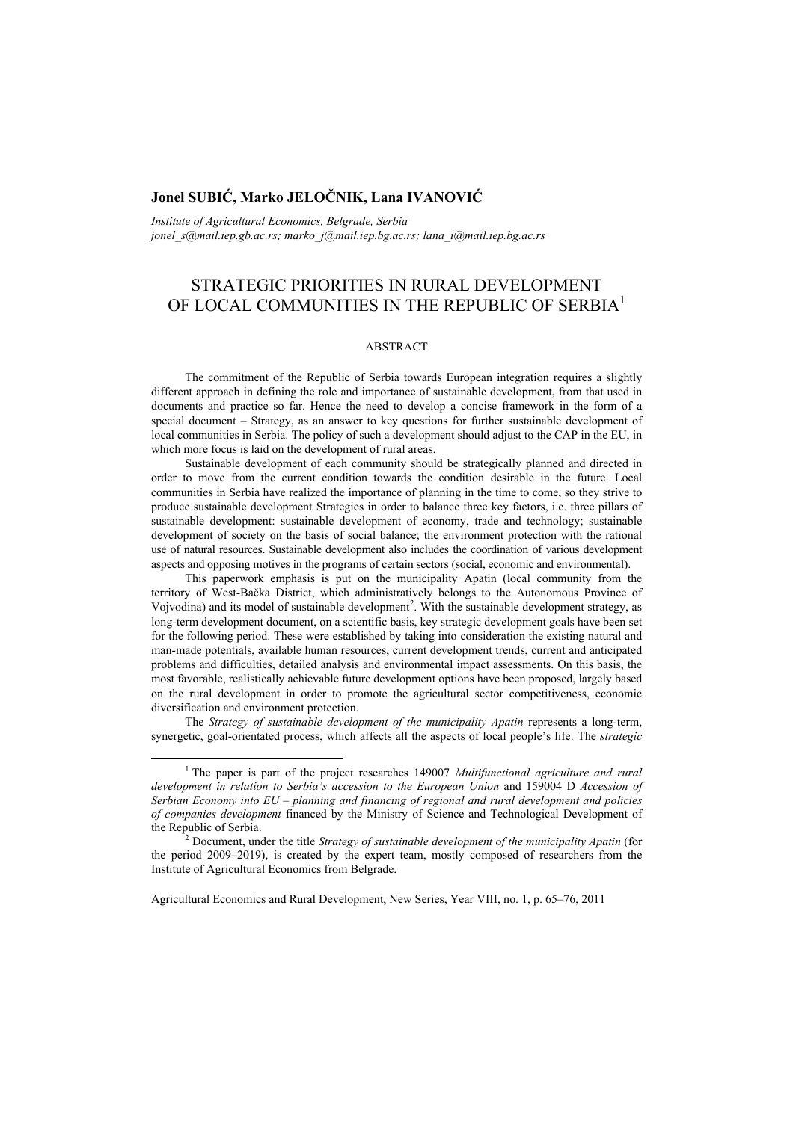# **Jonel SUBIĆ, Marko JELOČNIK, Lana IVANOVIĆ**

*Institute of Agricultural Economics, Belgrade, Serbia*

*jonel\_s@mail.iep.gb.ac.rs; marko\_j@mail.iep.bg.ac.rs; lana\_i@mail.iep.bg.ac.rs* 

# STRATEGIC PRIORITIES IN RURAL DEVELOPMENT OF LOCAL COMMUNITIES IN THE REPUBLIC OF SERBIA<sup>1</sup>

#### ABSTRACT

The commitment of the Republic of Serbia towards European integration requires a slightly different approach in defining the role and importance of sustainable development, from that used in documents and practice so far. Hence the need to develop a concise framework in the form of a special document – Strategy, as an answer to key questions for further sustainable development of local communities in Serbia. The policy of such a development should adjust to the CAP in the EU, in which more focus is laid on the development of rural areas.

Sustainable development of each community should be strategically planned and directed in order to move from the current condition towards the condition desirable in the future. Local communities in Serbia have realized the importance of planning in the time to come, so they strive to produce sustainable development Strategies in order to balance three key factors, i.e. three pillars of sustainable development: sustainable development of economy, trade and technology; sustainable development of society on the basis of social balance; the environment protection with the rational use of natural resources. Sustainable development also includes the coordination of various development aspects and opposing motives in the programs of certain sectors (social, economic and environmental).

This paperwork emphasis is put on the municipality Apatin (local community from the territory of West-Bačka District, which administratively belongs to the Autonomous Province of Vojvodina) and its model of sustainable development<sup>2</sup>. With the sustainable development strategy, as long-term development document, on a scientific basis, key strategic development goals have been set for the following period. These were established by taking into consideration the existing natural and man-made potentials, available human resources, current development trends, current and anticipated problems and difficulties, detailed analysis and environmental impact assessments. On this basis, the most favorable, realistically achievable future development options have been proposed, largely based on the rural development in order to promote the agricultural sector competitiveness, economic diversification and environment protection.

The *Strategy of sustainable development of the municipality Apatin* represents a long-term, synergetic, goal-orientated process, which affects all the aspects of local people's life. The *strategic* 

<sup>1&</sup>lt;sup>1</sup> <sup>1</sup> The paper is part of the project researches 149007 *Multifunctional agriculture and rural development in relation to Serbia's accession to the European Union* and 159004 D *Accession of Serbian Economy into EU – planning and financing of regional and rural development and policies of companies development* financed by the Ministry of Science and Technological Development of the Republic of Serbia.

Document, under the title *Strategy of sustainable development of the municipality Apatin* (for the period 2009–2019), is created by the expert team, mostly composed of researchers from the Institute of Agricultural Economics from Belgrade.

Agricultural Economics and Rural Development, New Series, Year VIII, no. 1, p. 65–76, 2011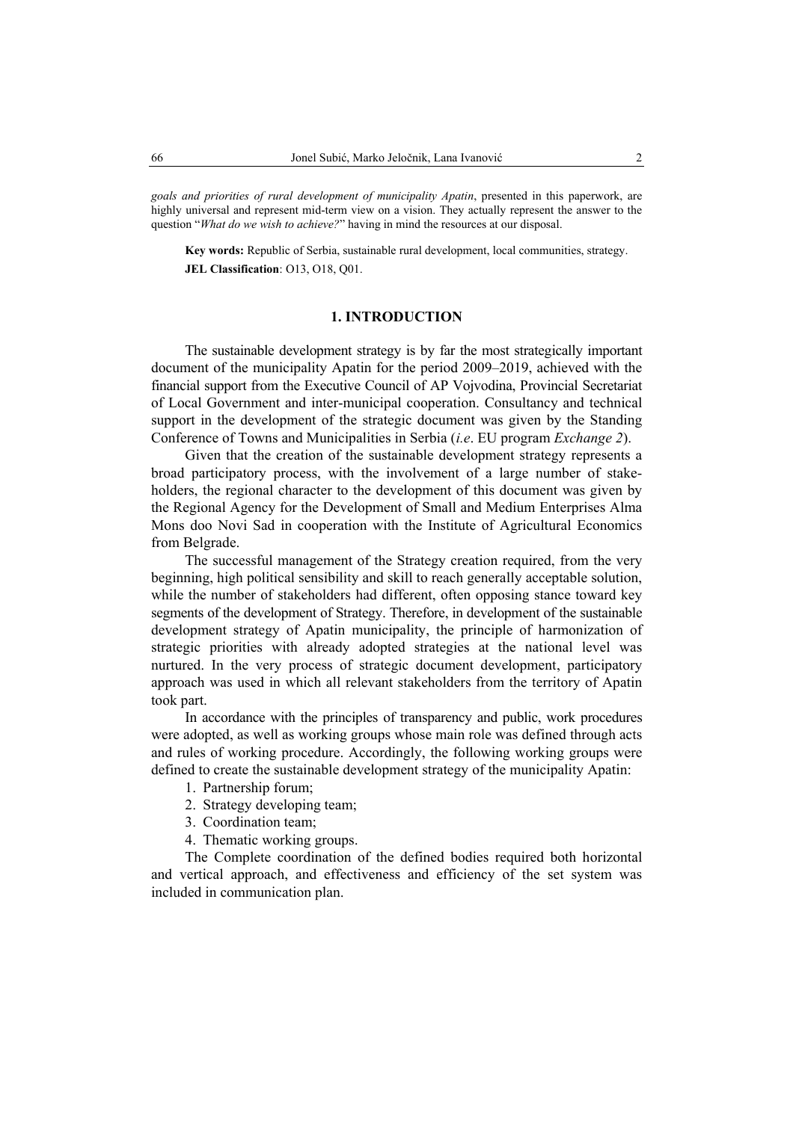*goals and priorities of rural development of municipality Apatin*, presented in this paperwork, are highly universal and represent mid-term view on a vision. They actually represent the answer to the question "*What do we wish to achieve?*" having in mind the resources at our disposal.

**Key words:** Republic of Serbia, sustainable rural development, local communities, strategy. **JEL Classification**: O13, O18, Q01.

#### **1. INTRODUCTION**

The sustainable development strategy is by far the most strategically important document of the municipality Apatin for the period 2009–2019, achieved with the financial support from the Executive Council of AP Vojvodina, Provincial Secretariat of Local Government and inter-municipal cooperation. Consultancy and technical support in the development of the strategic document was given by the Standing Conference of Towns and Municipalities in Serbia (*i.e*. EU program *Exchange 2*).

Given that the creation of the sustainable development strategy represents a broad participatory process, with the involvement of a large number of stakeholders, the regional character to the development of this document was given by the Regional Agency for the Development of Small and Medium Enterprises Alma Mons doo Novi Sad in cooperation with the Institute of Agricultural Economics from Belgrade.

The successful management of the Strategy creation required, from the very beginning, high political sensibility and skill to reach generally acceptable solution, while the number of stakeholders had different, often opposing stance toward key segments of the development of Strategy. Therefore, in development of the sustainable development strategy of Apatin municipality, the principle of harmonization of strategic priorities with already adopted strategies at the national level was nurtured. In the very process of strategic document development, participatory approach was used in which all relevant stakeholders from the territory of Apatin took part.

In accordance with the principles of transparency and public, work procedures were adopted, as well as working groups whose main role was defined through acts and rules of working procedure. Accordingly, the following working groups were defined to create the sustainable development strategy of the municipality Apatin:

- 1. Partnership forum;
- 2. Strategy developing team;
- 3. Coordination team;
- 4. Thematic working groups.

The Complete coordination of the defined bodies required both horizontal and vertical approach, and effectiveness and efficiency of the set system was included in communication plan.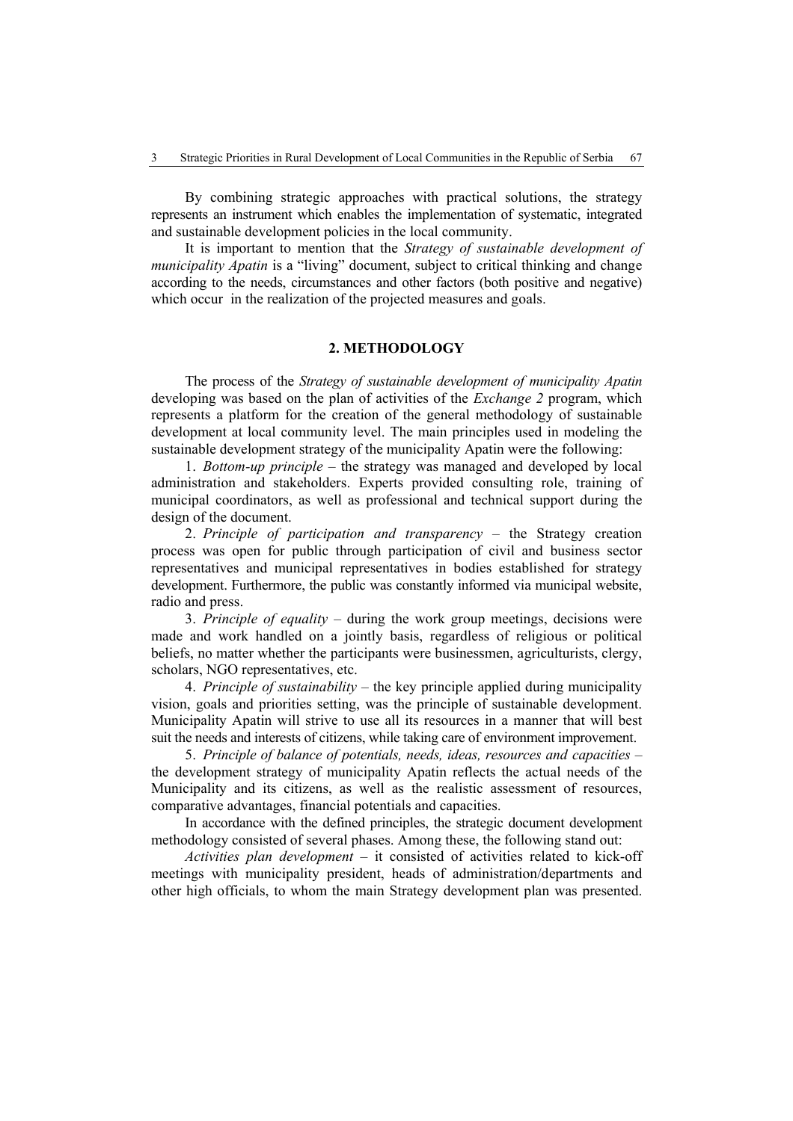By combining strategic approaches with practical solutions, the strategy represents an instrument which enables the implementation of systematic, integrated and sustainable development policies in the local community.

It is important to mention that the *Strategy of sustainable development of municipality Apatin* is a "living" document, subject to critical thinking and change according to the needs, circumstances and other factors (both positive and negative) which occur in the realization of the projected measures and goals.

### **2. METHODOLOGY**

The process of the *Strategy of sustainable development of municipality Apatin* developing was based on the plan of activities of the *Exchange 2* program, which represents a platform for the creation of the general methodology of sustainable development at local community level. The main principles used in modeling the sustainable development strategy of the municipality Apatin were the following:

1. *Bottom-up principle* – the strategy was managed and developed by local administration and stakeholders. Experts provided consulting role, training of municipal coordinators, as well as professional and technical support during the design of the document.

2. *Principle of participation and transparency* – the Strategy creation process was open for public through participation of civil and business sector representatives and municipal representatives in bodies established for strategy development. Furthermore, the public was constantly informed via municipal website, radio and press.

3. *Principle of equality* – during the work group meetings, decisions were made and work handled on a jointly basis, regardless of religious or political beliefs, no matter whether the participants were businessmen, agriculturists, clergy, scholars, NGO representatives, etc.

4. *Principle of sustainability* – the key principle applied during municipality vision, goals and priorities setting, was the principle of sustainable development. Municipality Apatin will strive to use all its resources in a manner that will best suit the needs and interests of citizens, while taking care of environment improvement.

5. *Principle of balance of potentials, needs, ideas, resources and capacities* – the development strategy of municipality Apatin reflects the actual needs of the Municipality and its citizens, as well as the realistic assessment of resources, comparative advantages, financial potentials and capacities.

In accordance with the defined principles, the strategic document development methodology consisted of several phases. Among these, the following stand out:

*Activities plan development* – it consisted of activities related to kick-off meetings with municipality president, heads of administration/departments and other high officials, to whom the main Strategy development plan was presented.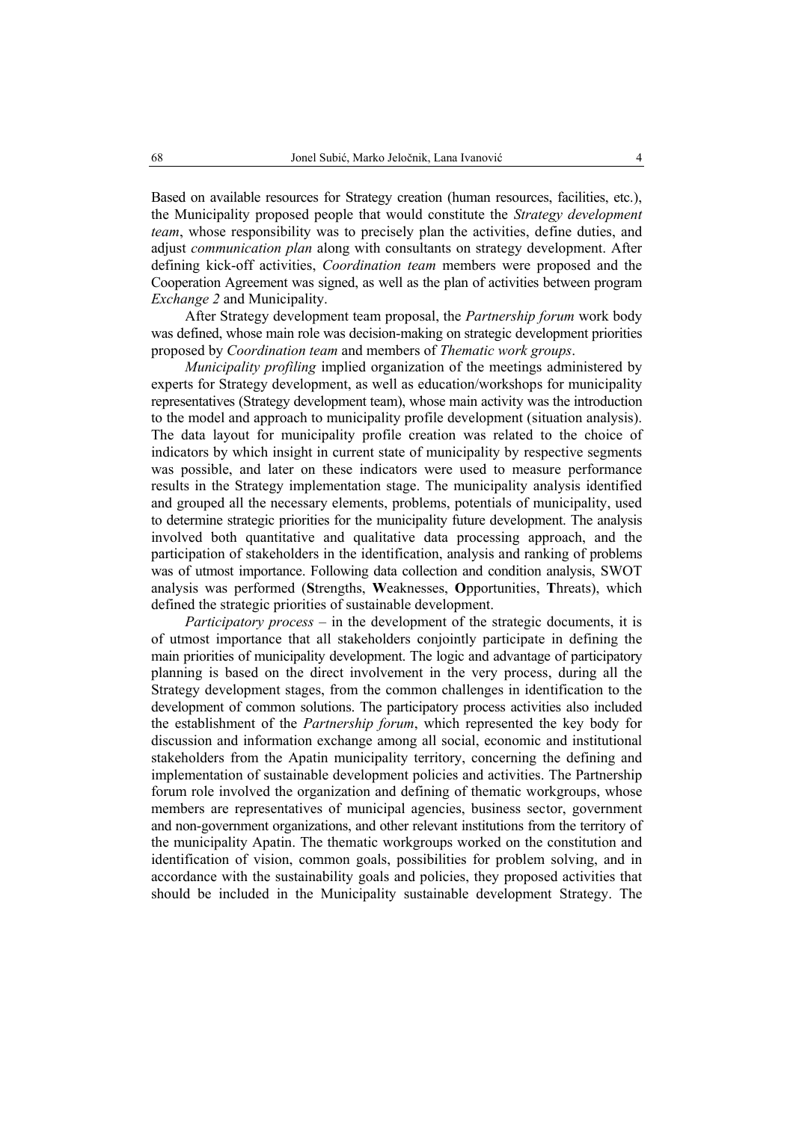Based on available resources for Strategy creation (human resources, facilities, etc.), the Municipality proposed people that would constitute the *Strategy development team*, whose responsibility was to precisely plan the activities, define duties, and adjust *communication plan* along with consultants on strategy development. After defining kick-off activities, *Coordination team* members were proposed and the Cooperation Agreement was signed, as well as the plan of activities between program *Exchange 2* and Municipality.

After Strategy development team proposal, the *Partnership forum* work body was defined, whose main role was decision-making on strategic development priorities proposed by *Coordination team* and members of *Thematic work groups*.

*Municipality profiling* implied organization of the meetings administered by experts for Strategy development, as well as education/workshops for municipality representatives (Strategy development team), whose main activity was the introduction to the model and approach to municipality profile development (situation analysis). The data layout for municipality profile creation was related to the choice of indicators by which insight in current state of municipality by respective segments was possible, and later on these indicators were used to measure performance results in the Strategy implementation stage. The municipality analysis identified and grouped all the necessary elements, problems, potentials of municipality, used to determine strategic priorities for the municipality future development. The analysis involved both quantitative and qualitative data processing approach, and the participation of stakeholders in the identification, analysis and ranking of problems was of utmost importance. Following data collection and condition analysis, SWOT analysis was performed (**S**trengths, **W**eaknesses, **O**pportunities, **T**hreats), which defined the strategic priorities of sustainable development.

*Participatory process* – in the development of the strategic documents, it is of utmost importance that all stakeholders conjointly participate in defining the main priorities of municipality development. The logic and advantage of participatory planning is based on the direct involvement in the very process, during all the Strategy development stages, from the common challenges in identification to the development of common solutions. The participatory process activities also included the establishment of the *Partnership forum*, which represented the key body for discussion and information exchange among all social, economic and institutional stakeholders from the Apatin municipality territory, concerning the defining and implementation of sustainable development policies and activities. The Partnership forum role involved the organization and defining of thematic workgroups, whose members are representatives of municipal agencies, business sector, government and non-government organizations, and other relevant institutions from the territory of the municipality Apatin. The thematic workgroups worked on the constitution and identification of vision, common goals, possibilities for problem solving, and in accordance with the sustainability goals and policies, they proposed activities that should be included in the Municipality sustainable development Strategy. The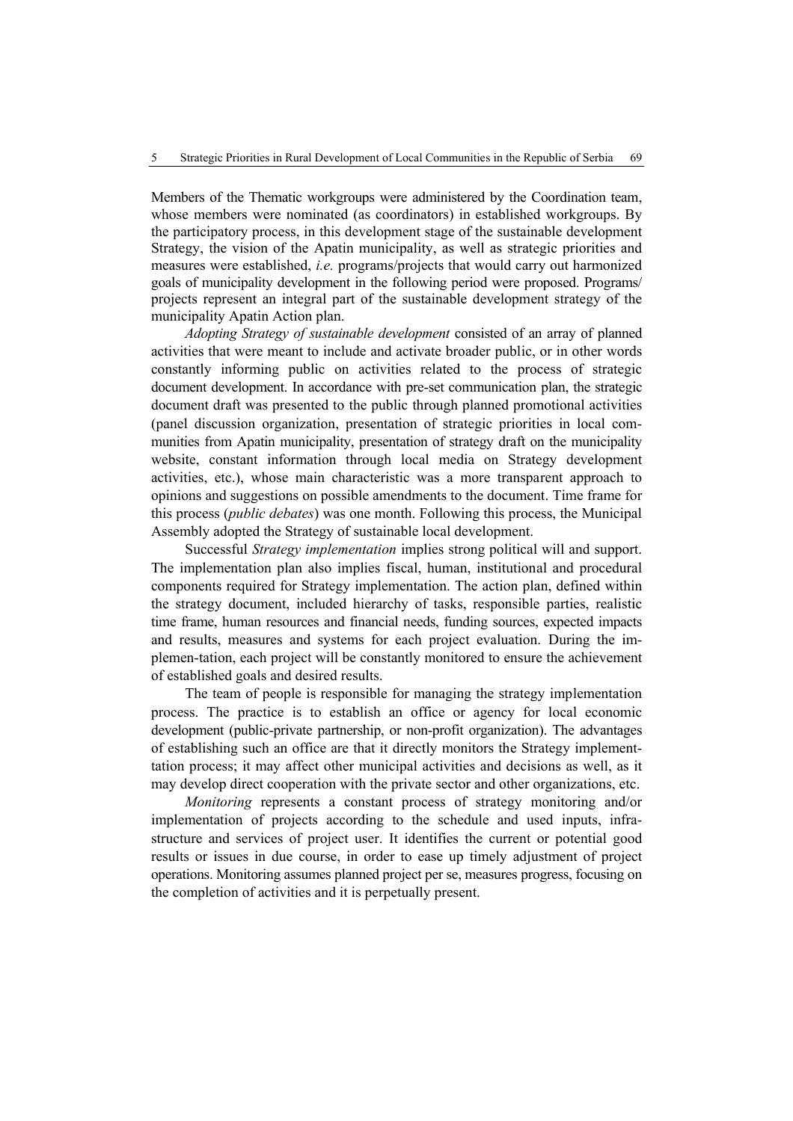Members of the Thematic workgroups were administered by the Coordination team, whose members were nominated (as coordinators) in established workgroups. By the participatory process, in this development stage of the sustainable development Strategy, the vision of the Apatin municipality, as well as strategic priorities and measures were established, *i.e.* programs/projects that would carry out harmonized goals of municipality development in the following period were proposed. Programs/ projects represent an integral part of the sustainable development strategy of the municipality Apatin Action plan.

*Adopting Strategy of sustainable development* consisted of an array of planned activities that were meant to include and activate broader public, or in other words constantly informing public on activities related to the process of strategic document development. In accordance with pre-set communication plan, the strategic document draft was presented to the public through planned promotional activities (panel discussion organization, presentation of strategic priorities in local communities from Apatin municipality, presentation of strategy draft on the municipality website, constant information through local media on Strategy development activities, etc.), whose main characteristic was a more transparent approach to opinions and suggestions on possible amendments to the document. Time frame for this process (*public debates*) was one month. Following this process, the Municipal Assembly adopted the Strategy of sustainable local development.

Successful *Strategy implementation* implies strong political will and support. The implementation plan also implies fiscal, human, institutional and procedural components required for Strategy implementation. The action plan, defined within the strategy document, included hierarchy of tasks, responsible parties, realistic time frame, human resources and financial needs, funding sources, expected impacts and results, measures and systems for each project evaluation. During the implemen-tation, each project will be constantly monitored to ensure the achievement of established goals and desired results.

The team of people is responsible for managing the strategy implementation process. The practice is to establish an office or agency for local economic development (public-private partnership, or non-profit organization). The advantages of establishing such an office are that it directly monitors the Strategy implementtation process; it may affect other municipal activities and decisions as well, as it may develop direct cooperation with the private sector and other organizations, etc.

*Monitoring* represents a constant process of strategy monitoring and/or implementation of projects according to the schedule and used inputs, infrastructure and services of project user. It identifies the current or potential good results or issues in due course, in order to ease up timely adjustment of project operations. Monitoring assumes planned project per se, measures progress, focusing on the completion of activities and it is perpetually present.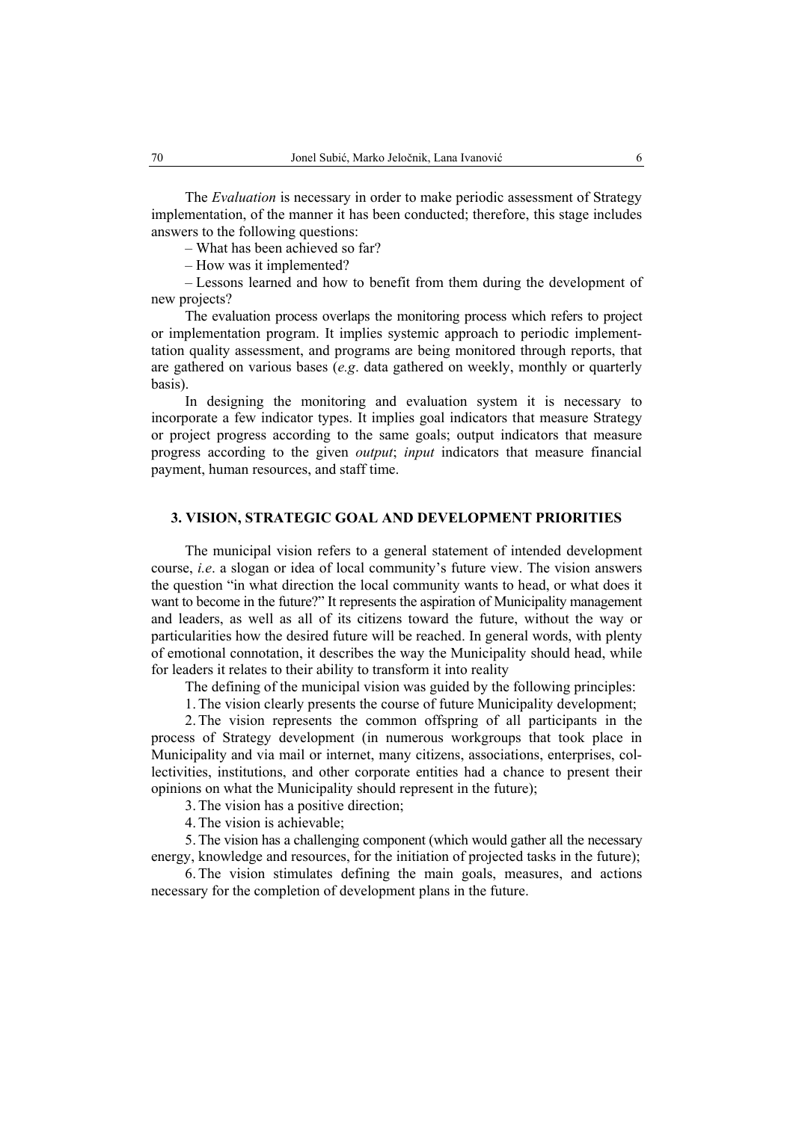The *Evaluation* is necessary in order to make periodic assessment of Strategy implementation, of the manner it has been conducted; therefore, this stage includes answers to the following questions:

– What has been achieved so far?

– How was it implemented?

– Lessons learned and how to benefit from them during the development of new projects?

The evaluation process overlaps the monitoring process which refers to project or implementation program. It implies systemic approach to periodic implementtation quality assessment, and programs are being monitored through reports, that are gathered on various bases (*e.g*. data gathered on weekly, monthly or quarterly basis).

In designing the monitoring and evaluation system it is necessary to incorporate a few indicator types. It implies goal indicators that measure Strategy or project progress according to the same goals; output indicators that measure progress according to the given *output*; *input* indicators that measure financial payment, human resources, and staff time.

## **3. VISION, STRATEGIC GOAL AND DEVELOPMENT PRIORITIES**

The municipal vision refers to a general statement of intended development course, *i.e*. a slogan or idea of local community's future view. The vision answers the question "in what direction the local community wants to head, or what does it want to become in the future?" It represents the aspiration of Municipality management and leaders, as well as all of its citizens toward the future, without the way or particularities how the desired future will be reached. In general words, with plenty of emotional connotation, it describes the way the Municipality should head, while for leaders it relates to their ability to transform it into reality

The defining of the municipal vision was guided by the following principles:

1. The vision clearly presents the course of future Municipality development;

2. The vision represents the common offspring of all participants in the process of Strategy development (in numerous workgroups that took place in Municipality and via mail or internet, many citizens, associations, enterprises, collectivities, institutions, and other corporate entities had a chance to present their opinions on what the Municipality should represent in the future);

3. The vision has a positive direction;

4. The vision is achievable;

5. The vision has a challenging component (which would gather all the necessary energy, knowledge and resources, for the initiation of projected tasks in the future);

6. The vision stimulates defining the main goals, measures, and actions necessary for the completion of development plans in the future.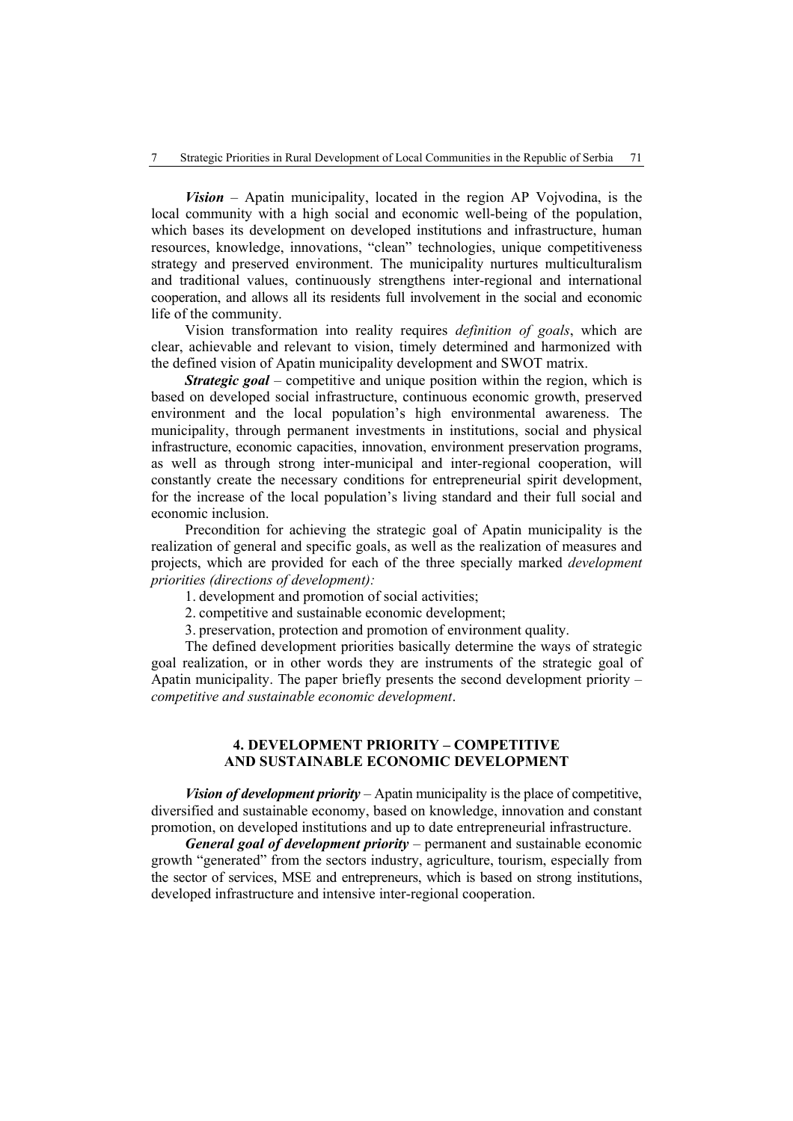*Vision* – Apatin municipality, located in the region AP Vojvodina, is the local community with a high social and economic well-being of the population, which bases its development on developed institutions and infrastructure, human resources, knowledge, innovations, "clean" technologies, unique competitiveness strategy and preserved environment. The municipality nurtures multiculturalism and traditional values, continuously strengthens inter-regional and international cooperation, and allows all its residents full involvement in the social and economic life of the community.

Vision transformation into reality requires *definition of goals*, which are clear, achievable and relevant to vision, timely determined and harmonized with the defined vision of Apatin municipality development and SWOT matrix.

*Strategic goal* – competitive and unique position within the region, which is based on developed social infrastructure, continuous economic growth, preserved environment and the local population's high environmental awareness. The municipality, through permanent investments in institutions, social and physical infrastructure, economic capacities, innovation, environment preservation programs, as well as through strong inter-municipal and inter-regional cooperation, will constantly create the necessary conditions for entrepreneurial spirit development, for the increase of the local population's living standard and their full social and economic inclusion.

Precondition for achieving the strategic goal of Apatin municipality is the realization of general and specific goals, as well as the realization of measures and projects, which are provided for each of the three specially marked *development priorities (directions of development):*

- 1. development and promotion of social activities;
- 2. competitive and sustainable economic development;

3. preservation, protection and promotion of environment quality.

The defined development priorities basically determine the ways of strategic goal realization, or in other words they are instruments of the strategic goal of Apatin municipality. The paper briefly presents the second development priority – *competitive and sustainable economic development*.

### **4. DEVELOPMENT PRIORITY – COMPETITIVE AND SUSTAINABLE ECONOMIC DEVELOPMENT**

*Vision of development priority* – Apatin municipality is the place of competitive, diversified and sustainable economy, based on knowledge, innovation and constant promotion, on developed institutions and up to date entrepreneurial infrastructure.

*General goal of development priority* – permanent and sustainable economic growth "generated" from the sectors industry, agriculture, tourism, especially from the sector of services, MSE and entrepreneurs, which is based on strong institutions, developed infrastructure and intensive inter-regional cooperation.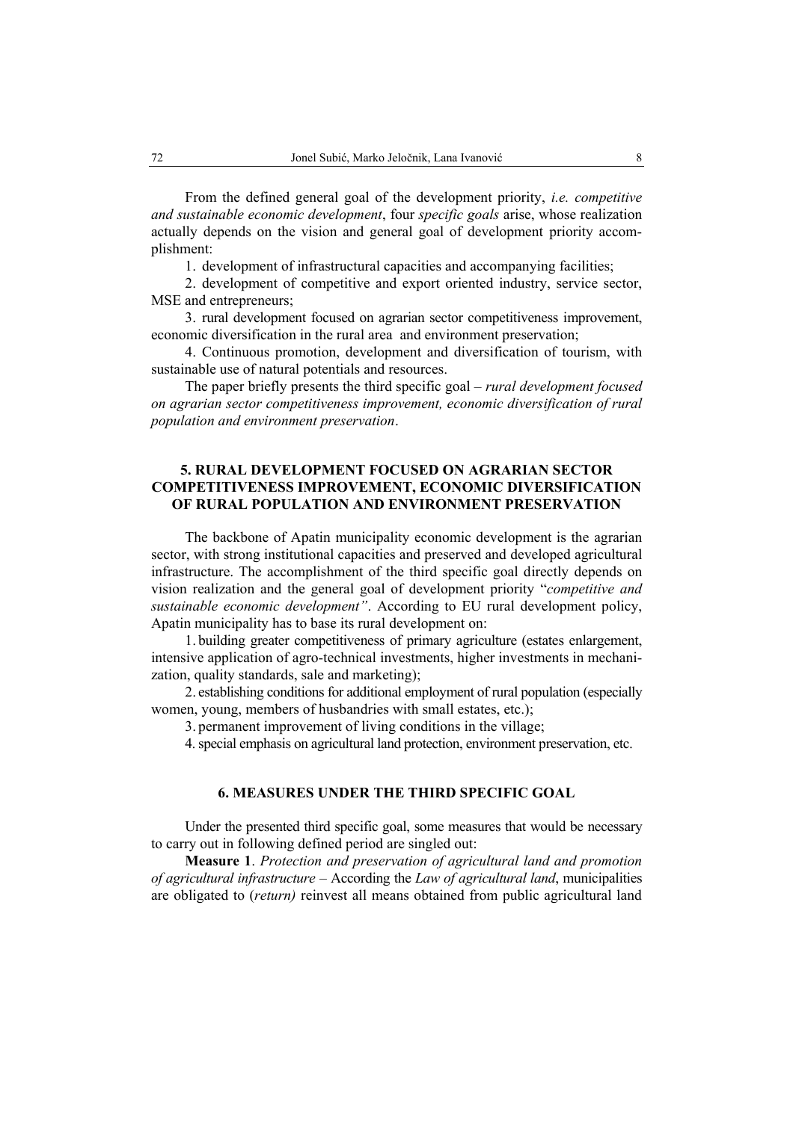From the defined general goal of the development priority, *i.e. competitive and sustainable economic development*, four *specific goals* arise, whose realization actually depends on the vision and general goal of development priority accomplishment:

1. development of infrastructural capacities and accompanying facilities;

2. development of competitive and export oriented industry, service sector, MSE and entrepreneurs;

3. rural development focused on agrarian sector competitiveness improvement, economic diversification in the rural area and environment preservation;

4. Continuous promotion, development and diversification of tourism, with sustainable use of natural potentials and resources.

The paper briefly presents the third specific goal – *rural development focused on agrarian sector competitiveness improvement, economic diversification of rural population and environment preservation*.

## **5. RURAL DEVELOPMENT FOCUSED ON AGRARIAN SECTOR COMPETITIVENESS IMPROVEMENT, ECONOMIC DIVERSIFICATION OF RURAL POPULATION AND ENVIRONMENT PRESERVATION**

The backbone of Apatin municipality economic development is the agrarian sector, with strong institutional capacities and preserved and developed agricultural infrastructure. The accomplishment of the third specific goal directly depends on vision realization and the general goal of development priority "*competitive and sustainable economic development"*. According to EU rural development policy, Apatin municipality has to base its rural development on:

1. building greater competitiveness of primary agriculture (estates enlargement, intensive application of agro-technical investments, higher investments in mechanization, quality standards, sale and marketing);

2. establishing conditions for additional employment of rural population (especially women, young, members of husbandries with small estates, etc.);

3. permanent improvement of living conditions in the village;

4.special emphasis on agricultural land protection, environment preservation, etc.

### **6. MEASURES UNDER THE THIRD SPECIFIC GOAL**

Under the presented third specific goal, some measures that would be necessary to carry out in following defined period are singled out:

**Measure 1**. *Protection and preservation of agricultural land and promotion of agricultural infrastructure* – According the *Law of agricultural land*, municipalities are obligated to (*return)* reinvest all means obtained from public agricultural land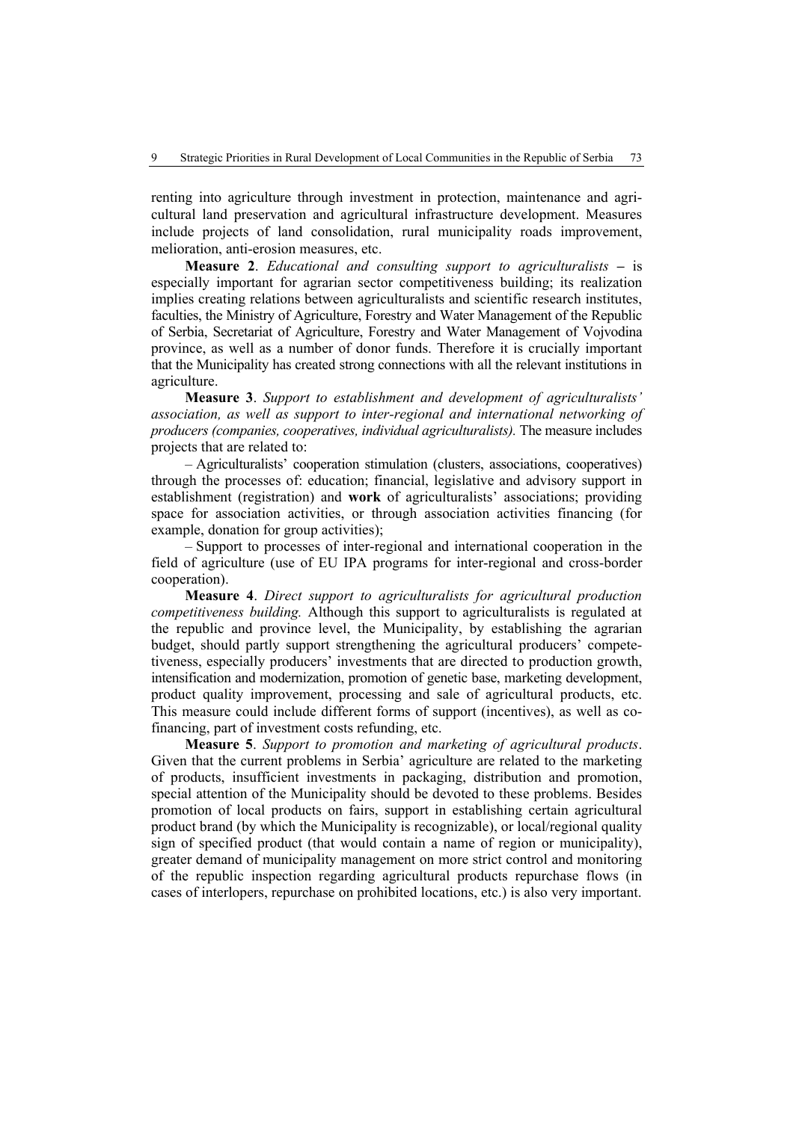renting into agriculture through investment in protection, maintenance and agricultural land preservation and agricultural infrastructure development. Measures include projects of land consolidation, rural municipality roads improvement, melioration, anti-erosion measures, etc.

**Measure 2**. *Educational and consulting support to agriculturalists* **–** is especially important for agrarian sector competitiveness building; its realization implies creating relations between agriculturalists and scientific research institutes, faculties, the Ministry of Agriculture, Forestry and Water Management of the Republic of Serbia, Secretariat of Agriculture, Forestry and Water Management of Vojvodina province, as well as a number of donor funds. Therefore it is crucially important that the Municipality has created strong connections with all the relevant institutions in agriculture.

**Measure 3**. *Support to establishment and development of agriculturalists' association, as well as support to inter-regional and international networking of producers (companies, cooperatives, individual agriculturalists).* The measure includes projects that are related to:

– Agriculturalists' cooperation stimulation (clusters, associations, cooperatives) through the processes of: education; financial, legislative and advisory support in establishment (registration) and **work** of agriculturalists' associations; providing space for association activities, or through association activities financing (for example, donation for group activities);

– Support to processes of inter-regional and international cooperation in the field of agriculture (use of EU IPA programs for inter-regional and cross-border cooperation).

**Measure 4**. *Direct support to agriculturalists for agricultural production competitiveness building.* Although this support to agriculturalists is regulated at the republic and province level, the Municipality, by establishing the agrarian budget, should partly support strengthening the agricultural producers' competetiveness, especially producers' investments that are directed to production growth, intensification and modernization, promotion of genetic base, marketing development, product quality improvement, processing and sale of agricultural products, etc. This measure could include different forms of support (incentives), as well as cofinancing, part of investment costs refunding, etc.

**Measure 5**. *Support to promotion and marketing of agricultural products*. Given that the current problems in Serbia' agriculture are related to the marketing of products, insufficient investments in packaging, distribution and promotion, special attention of the Municipality should be devoted to these problems. Besides promotion of local products on fairs, support in establishing certain agricultural product brand (by which the Municipality is recognizable), or local/regional quality sign of specified product (that would contain a name of region or municipality), greater demand of municipality management on more strict control and monitoring of the republic inspection regarding agricultural products repurchase flows (in cases of interlopers, repurchase on prohibited locations, etc.) is also very important.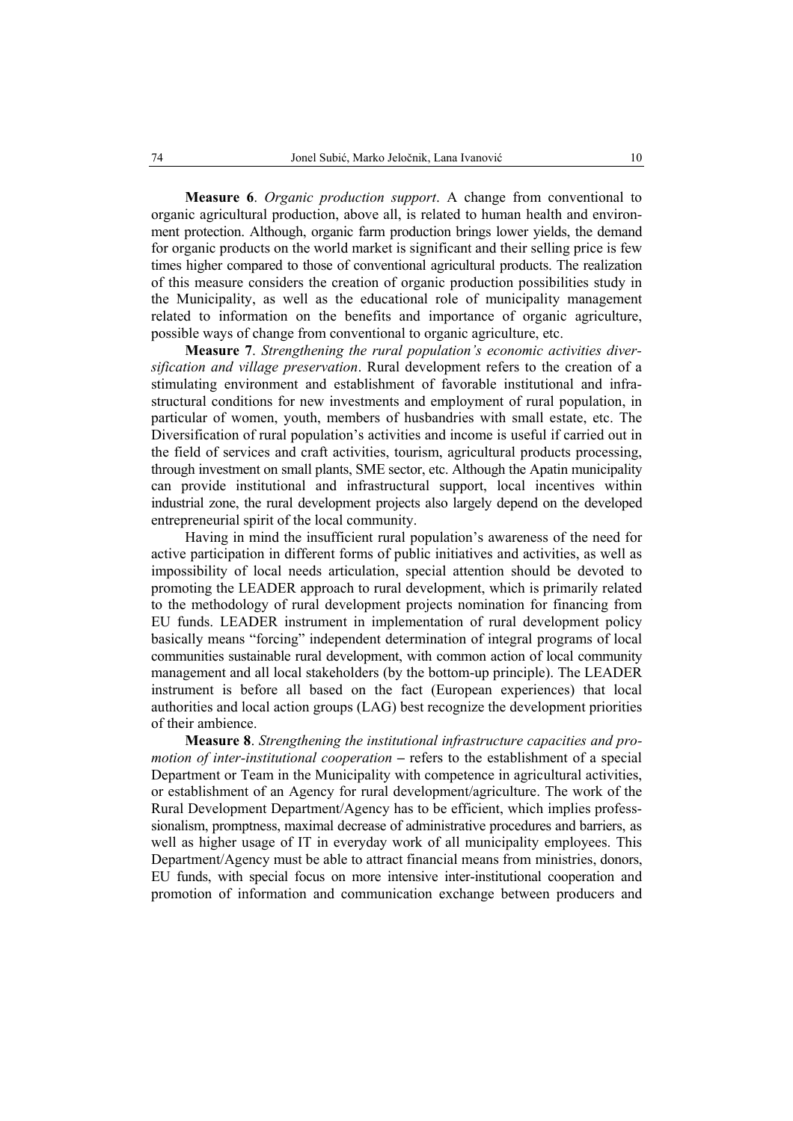**Measure 6**. *Organic production support*. A change from conventional to organic agricultural production, above all, is related to human health and environment protection. Although, organic farm production brings lower yields, the demand for organic products on the world market is significant and their selling price is few times higher compared to those of conventional agricultural products. The realization of this measure considers the creation of organic production possibilities study in the Municipality, as well as the educational role of municipality management related to information on the benefits and importance of organic agriculture, possible ways of change from conventional to organic agriculture, etc.

**Measure 7**. *Strengthening the rural population's economic activities diversification and village preservation*. Rural development refers to the creation of a stimulating environment and establishment of favorable institutional and infrastructural conditions for new investments and employment of rural population, in particular of women, youth, members of husbandries with small estate, etc. The Diversification of rural population's activities and income is useful if carried out in the field of services and craft activities, tourism, agricultural products processing, through investment on small plants, SME sector, etc. Although the Apatin municipality can provide institutional and infrastructural support, local incentives within industrial zone, the rural development projects also largely depend on the developed entrepreneurial spirit of the local community.

Having in mind the insufficient rural population's awareness of the need for active participation in different forms of public initiatives and activities, as well as impossibility of local needs articulation, special attention should be devoted to promoting the LEADER approach to rural development, which is primarily related to the methodology of rural development projects nomination for financing from EU funds. LEADER instrument in implementation of rural development policy basically means "forcing" independent determination of integral programs of local communities sustainable rural development, with common action of local community management and all local stakeholders (by the bottom-up principle). The LEADER instrument is before all based on the fact (European experiences) that local authorities and local action groups (LAG) best recognize the development priorities of their ambience.

**Measure 8**. *Strengthening the institutional infrastructure capacities and promotion of inter-institutional cooperation* – refers to the establishment of a special Department or Team in the Municipality with competence in agricultural activities, or establishment of an Agency for rural development/agriculture. The work of the Rural Development Department/Agency has to be efficient, which implies professsionalism, promptness, maximal decrease of administrative procedures and barriers, as well as higher usage of IT in everyday work of all municipality employees. This Department/Agency must be able to attract financial means from ministries, donors, EU funds, with special focus on more intensive inter-institutional cooperation and promotion of information and communication exchange between producers and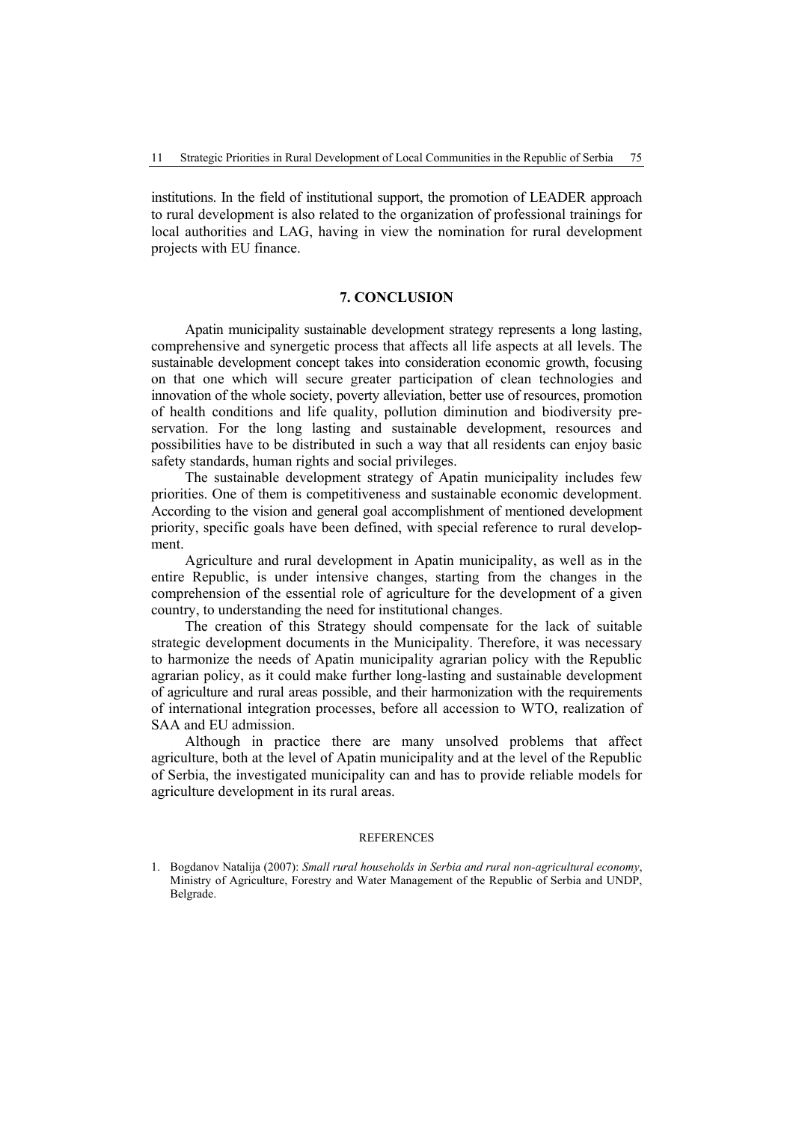institutions. In the field of institutional support, the promotion of LEADER approach to rural development is also related to the organization of professional trainings for local authorities and LAG, having in view the nomination for rural development projects with EU finance.

#### **7. CONCLUSION**

Apatin municipality sustainable development strategy represents a long lasting, comprehensive and synergetic process that affects all life aspects at all levels. The sustainable development concept takes into consideration economic growth, focusing on that one which will secure greater participation of clean technologies and innovation of the whole society, poverty alleviation, better use of resources, promotion of health conditions and life quality, pollution diminution and biodiversity preservation. For the long lasting and sustainable development, resources and possibilities have to be distributed in such a way that all residents can enjoy basic safety standards, human rights and social privileges.

The sustainable development strategy of Apatin municipality includes few priorities. One of them is competitiveness and sustainable economic development. According to the vision and general goal accomplishment of mentioned development priority, specific goals have been defined, with special reference to rural development.

Agriculture and rural development in Apatin municipality, as well as in the entire Republic, is under intensive changes, starting from the changes in the comprehension of the essential role of agriculture for the development of a given country, to understanding the need for institutional changes.

The creation of this Strategy should compensate for the lack of suitable strategic development documents in the Municipality. Therefore, it was necessary to harmonize the needs of Apatin municipality agrarian policy with the Republic agrarian policy, as it could make further long-lasting and sustainable development of agriculture and rural areas possible, and their harmonization with the requirements of international integration processes, before all accession to WTO, realization of SAA and EU admission.

Although in practice there are many unsolved problems that affect agriculture, both at the level of Apatin municipality and at the level of the Republic of Serbia, the investigated municipality can and has to provide reliable models for agriculture development in its rural areas.

#### **REFERENCES**

<sup>1.</sup> Bogdanov Natalija (2007): *Small rural households in Serbia and rural non-agricultural economy*, Ministry of Agriculture, Forestry and Water Management of the Republic of Serbia and UNDP, Belgrade.